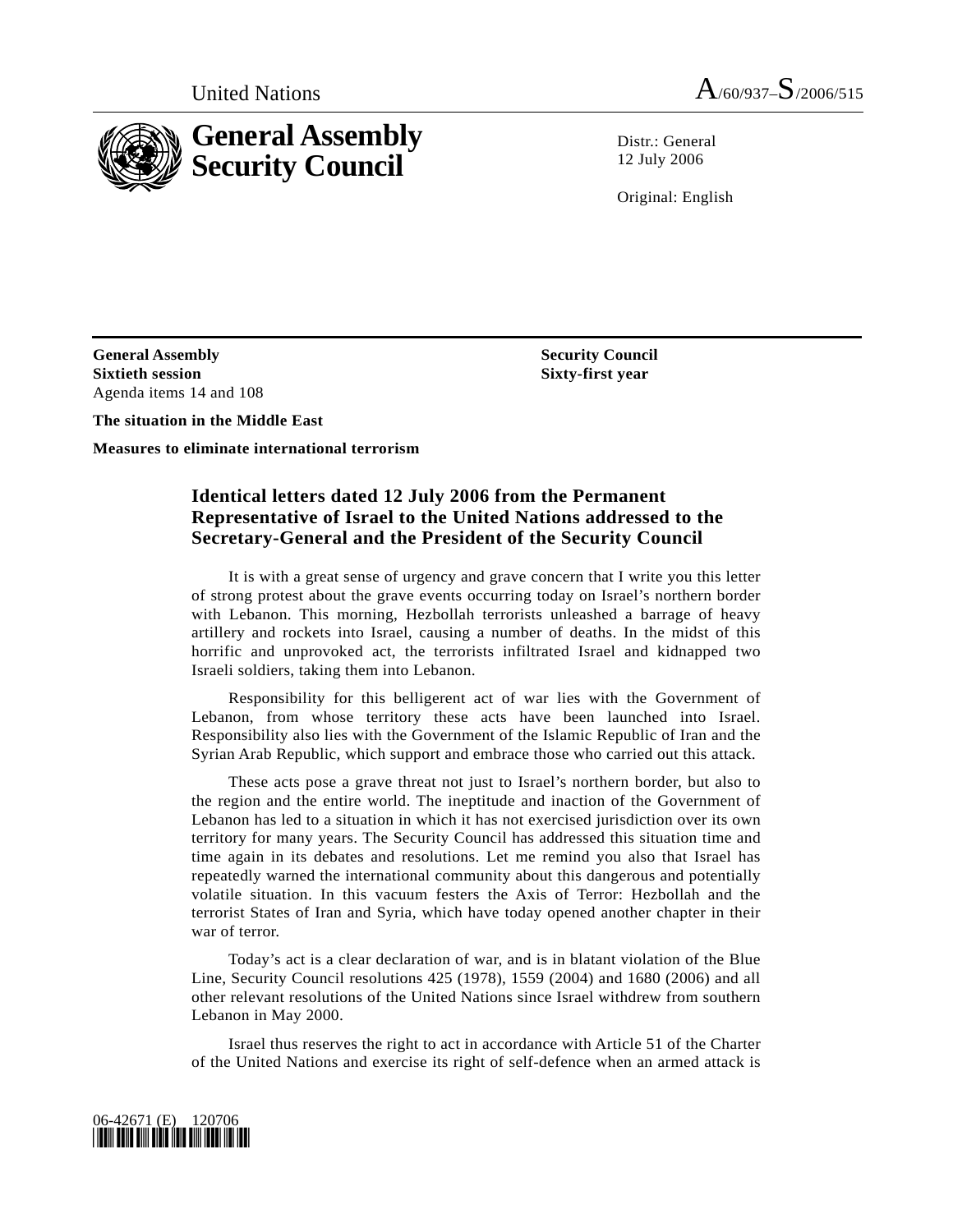

 $Distr: General$ 12 July 2006

Original: English

 **Security Council Sixty-first year** 

**General Assembly Sixtieth session**  Agenda items 14 and 108

**The situation in the Middle East** 

**Measures to eliminate international terrorism**

## **Identical letters dated 12 July 2006 from the Permanent Representative of Israel to the United Nations addressed to the Secretary-General and the President of the Security Council**

 It is with a great sense of urgency and grave concern that I write you this letter of strong protest about the grave events occurring today on Israel's northern border with Lebanon. This morning, Hezbollah terrorists unleashed a barrage of heavy artillery and rockets into Israel, causing a number of deaths. In the midst of this horrific and unprovoked act, the terrorists infiltrated Israel and kidnapped two Israeli soldiers, taking them into Lebanon.

 Responsibility for this belligerent act of war lies with the Government of Lebanon, from whose territory these acts have been launched into Israel. Responsibility also lies with the Government of the Islamic Republic of Iran and the Syrian Arab Republic, which support and embrace those who carried out this attack.

 These acts pose a grave threat not just to Israel's northern border, but also to the region and the entire world. The ineptitude and inaction of the Government of Lebanon has led to a situation in which it has not exercised jurisdiction over its own territory for many years. The Security Council has addressed this situation time and time again in its debates and resolutions. Let me remind you also that Israel has repeatedly warned the international community about this dangerous and potentially volatile situation. In this vacuum festers the Axis of Terror: Hezbollah and the terrorist States of Iran and Syria, which have today opened another chapter in their war of terror.

 Today's act is a clear declaration of war, and is in blatant violation of the Blue Line, Security Council resolutions 425 (1978), 1559 (2004) and 1680 (2006) and all other relevant resolutions of the United Nations since Israel withdrew from southern Lebanon in May 2000.

 Israel thus reserves the right to act in accordance with Article 51 of the Charter of the United Nations and exercise its right of self-defence when an armed attack is